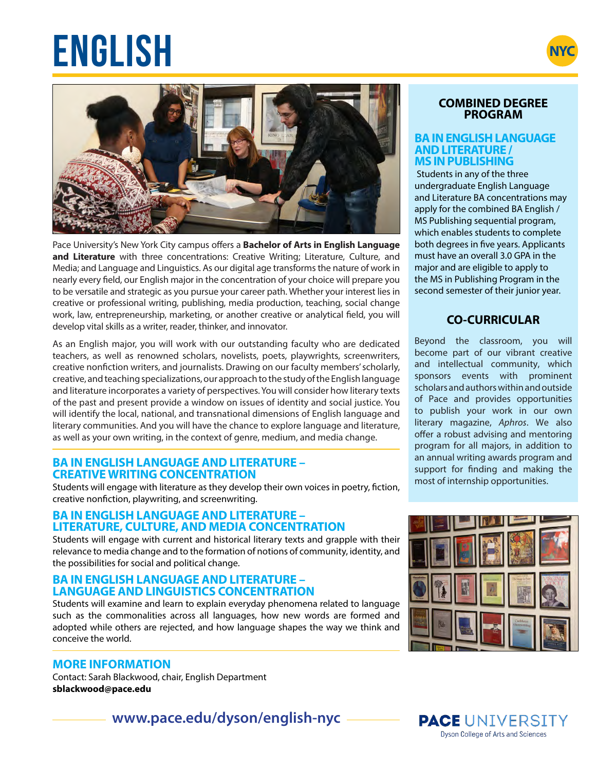# $ENGLISH$





Pace University's New York City campus offers a **Bachelor of Arts in English Language and Literature** with three concentrations: Creative Writing; Literature, Culture, and Media; and Language and Linguistics. As our digital age transforms the nature of work in nearly every field, our English major in the concentration of your choice will prepare you to be versatile and strategic as you pursue your career path. Whether your interest lies in creative or professional writing, publishing, media production, teaching, social change work, law, entrepreneurship, marketing, or another creative or analytical field, you will develop vital skills as a writer, reader, thinker, and innovator.

As an English major, you will work with our outstanding faculty who are dedicated teachers, as well as renowned scholars, novelists, poets, playwrights, screenwriters, creative nonfiction writers, and journalists. Drawing on our faculty members' scholarly, creative, and teaching specializations, our approach to the study of the English language and literature incorporates a variety of perspectives. You will consider how literary texts of the past and present provide a window on issues of identity and social justice. You will identify the local, national, and transnational dimensions of English language and literary communities. And you will have the chance to explore language and literature, as well as your own writing, in the context of genre, medium, and media change.

# **BA IN ENGLISH LANGUAGE AND LITERATURE – CREATIVE WRITING CONCENTRATION**

Students will engage with literature as they develop their own voices in poetry, fiction, creative nonfiction, playwriting, and screenwriting.

## **BA IN ENGLISH LANGUAGE AND LITERATURE – LITERATURE, CULTURE, AND MEDIA CONCENTRATION**

Students will engage with current and historical literary texts and grapple with their relevance to media change and to the formation of notions of community, identity, and the possibilities for social and political change.

## **BA IN ENGLISH LANGUAGE AND LITERATURE – LANGUAGE AND LINGUISTICS CONCENTRATION**

Students will examine and learn to explain everyday phenomena related to language such as the commonalities across all languages, how new words are formed and adopted while others are rejected, and how language shapes the way we think and conceive the world.

# **MORE INFORMATION**

Contact: Sarah Blackwood, chair, English Department **sblackwood@pace.edu**

**www.pace.edu/dyson/english-nyc**

# **COMBINED DEGREE PROGRAM**

#### **BA IN ENGLISH LANGUAGE AND LITERATURE / MS IN PUBLISHING**

Students in any of the three undergraduate English Language and Literature BA concentrations may apply for the combined BA English / MS Publishing sequential program, which enables students to complete both degrees in five years. Applicants must have an overall 3.0 GPA in the major and are eligible to apply to the MS in Publishing Program in the second semester of their junior year.

# **CO-CURRICULAR**

Beyond the classroom, you will become part of our vibrant creative and intellectual community, which sponsors events with prominent scholars and authors within and outside of Pace and provides opportunities to publish your work in our own literary magazine, *Aphros*. We also offer a robust advising and mentoring program for all majors, in addition to an annual writing awards program and support for finding and making the most of internship opportunities.